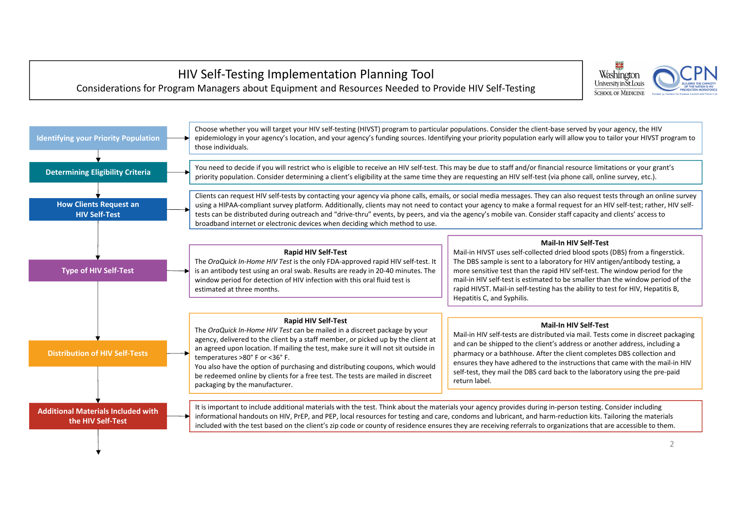# HIV Self‐Testing Implementation Planning Tool Considerations for Program Managers about Equipment and Resources Needed to Provide HIV Self‐Testing

Choose whether you will target your HIV self‐testing (HIVST) program to particular populations. Consider the client‐base served by your agency, the HIV epidemiology in your agency's location, and your agency's funding sources. Identifying your priority population early will allow you to tailor your HIVST program to

Determining Eligibility Criteria and and to decide if you will restrict who is eligible to receive an HIV self-test. This may be due to staff and/or financial resource limitations or your grant's priority population. Consi

Clients can request HIV self‐tests by contacting your agency via phone calls, emails, or social media messages. They can also request tests through an online survey using a HIPAA-compliant survey platform. Additionally, clients may not need to contact your agency to make a formal request for an HIV self-test; rather, HIV selftests can be distributed during outreach and "drive‐thru" events, by peers, and via the agency's mobile van. Consider staff capacity and clients' access to broadband internet or electronic devices when deciding which method to use.

It is important to include additional materials with the test. Think about the materials your agency provides during in‐person testing. Consider including informational handouts on HIV, PrEP, and PEP, local resources for testing and care, condoms and lubricant, and harm‐reduction kits. Tailoring the materials included with the test based on the client's zip code or county of residence ensures they are receiving referrals to organizations that are accessible to them.







## **Rapid HIV Self‐Test**

The *OraQuick In‐Home HIV Test* is the only FDA‐approved rapid HIV self‐test. It is an antibody test using an oral swab. Results are ready in 20‐40 minutes. The window period for detection of HIV infection with this oral fluid test is

# **Mail‐In HIV Self‐Test**

Mail‐in HIVST uses self‐collected dried blood spots (DBS) from <sup>a</sup> fingerstick. The DBS sample is sent to <sup>a</sup> laboratory for HIV antigen/antibody testing, <sup>a</sup> more sensitive test than the rapid HIV self‐test. The window period for the mail‐in HIV self‐test is estimated to be smaller than the window period of the rapid HIVST. Mail‐in self‐testing has the ability to test for HIV, Hepatitis B, Hepatitis C, and Syphilis.

## **Rapid HIV Self‐Test**

The *OraQuick In‐Home HIV Test* can be mailed in <sup>a</sup> discreet package by your agency, delivered to the client by <sup>a</sup> staff member, or picked up by the client at an agreed upon location. If mailing the test, make sure it will not sit outside in

You also have the option of purchasing and distributing coupons, which would be redeemed online by clients for <sup>a</sup> free test. The tests are mailed in discreet

# **Mail‐In HIV Self‐Test**

Mail‐in HIV self‐tests are distributed via mail. Tests come in discreet packaging and can be shipped to the client's address or another address, including <sup>a</sup> pharmacy or <sup>a</sup> bathhouse. After the client completes DBS collection and ensures they have adhered to the instructions that came with the mail‐in HIV self-test, they mail the DBS card back to the laboratory using the pre-paid return label.